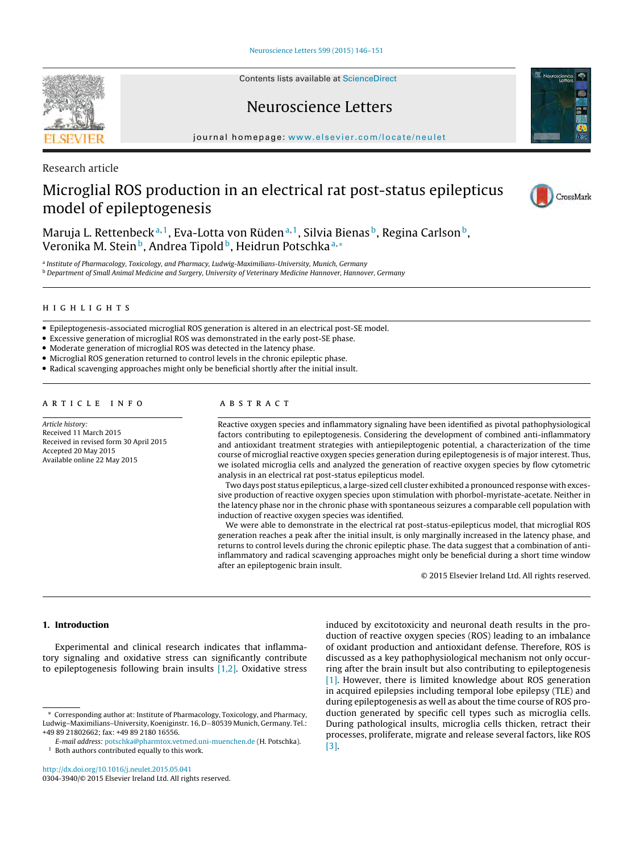Contents lists available at [ScienceDirect](http://www.sciencedirect.com/science/journal/03043940)

# Neuroscience Letters

journal homepage: [www.elsevier.com/locate/neulet](http://www.elsevier.com/locate/neulet)

Research article

## Microglial ROS production in an electrical rat post-status epilepticus model of epileptogenesis



a Institute of Pharmacology, Toxicology, and Pharmacy, Ludwig-Maximilians-University, Munich, Germany **b Department of Small Animal Medicine and Surgery, University of Veterinary Medicine Hannover, Hannover, Germany** 

- Epileptogenesis-associated microglial ROS generation is altered in an electrical post-SE model.
- Excessive generation of microglial ROS was demonstrated in the early post-SE phase.
- Moderate generation of microglial ROS was detected in the latency phase.
- Microglial ROS generation returned to control levels in the chronic epileptic phase.
- Radical scavenging approaches might only be beneficial shortly after the initial insult.

Article history: Received 11 March 2015 Received in revised form 30 April 2015 Accepted 20 May 2015 Available online 22 May 2015

Reactive oxygen species and inflammatory signaling have been identified as pivotal pathophysiological factors contributing to epileptogenesis. Considering the development of combined anti-inflammatory and antioxidant treatment strategies with antiepileptogenic potential, a characterization of the time course of microglial reactive oxygen species generation during epileptogenesis is of major interest. Thus, we isolated microglia cells and analyzed the generation of reactive oxygen species by flow cytometric analysis in an electrical rat post-status epilepticus model.

Two days post status epilepticus, a large-sized cell cluster exhibited a pronounced response with excessive production of reactive oxygen species upon stimulation with phorbol-myristate-acetate. Neither in the latency phase nor in the chronic phase with spontaneous seizures a comparable cell population with induction of reactive oxygen species was identified.

We were able to demonstrate in the electrical rat post-status-epilepticus model, that microglial ROS generation reaches a peak after the initial insult, is only marginally increased in the latency phase, and returns to control levels during the chronic epileptic phase. The data suggest that a combination of antiinflammatory and radical scavenging approaches might only be beneficial during a short time window after an epileptogenic brain insult.

© 2015 Elsevier Ireland Ltd. All rights reserved.

## **1. Introduction**

Experimental and clinical research indicates that inflammatory signaling and oxidative stress can significantly contribute to epileptogenesis following brain insults [\[1,2\].](#page-4-0) Oxidative stress

[http://dx.doi.org/10.1016/j.neulet.2015.05.041](dx.doi.org/10.1016/j.neulet.2015.05.041) 0304-3940/© 2015 Elsevier Ireland Ltd. All rights reserved. induced by excitotoxicity and neuronal death results in the production of reactive oxygen species (ROS) leading to an imbalance of oxidant production and antioxidant defense. Therefore, ROS is discussed as a key pathophysiological mechanism not only occurring after the brain insult but also contributing to epileptogenesis [\[1\].](#page-4-0) However, there is limited knowledge about ROS generation in acquired epilepsies including temporal lobe epilepsy (TLE) and during epileptogenesis as well as about the time course of ROS production generated by specific cell types such as microglia cells. During pathological insults, microglia cells thicken, retract their processes, proliferate, migrate and release several factors, like ROS [\[3\].](#page-4-0)







<sup>∗</sup> Corresponding author at: Institute of Pharmacology, Toxicology, and Pharmacy, Ludwig–Maximilians–University, Koeniginstr. 16, D−80539 Munich, Germany. Tel.: +49 89 21802662; fax: +49 89 2180 16556.

E-mail address: [potschka@pharmtox.vetmed.uni-muenchen.de](mailto:potschka@pharmtox.vetmed.uni-muenchen.de) (H. Potschka).

 $^{\rm 1}$  Both authors contributed equally to this work.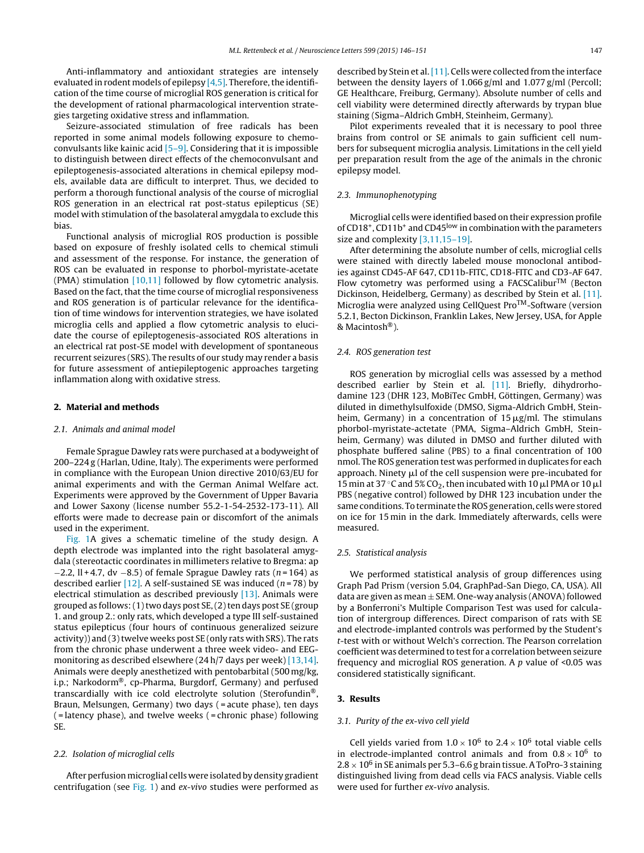Anti-inflammatory and antioxidant strategies are intensely evaluated in rodent models of epilepsy  $[4,5]$ . Therefore, the identification of the time course of microglial ROS generation is critical for the development of rational pharmacological intervention strategies targeting oxidative stress and inflammation.

Seizure-associated stimulation of free radicals has been reported in some animal models following exposure to chemoconvulsants like kainic acid [\[5–9\]. C](#page-4-0)onsidering that it is impossible to distinguish between direct effects of the chemoconvulsant and epileptogenesis-associated alterations in chemical epilepsy models, available data are difficult to interpret. Thus, we decided to perform a thorough functional analysis of the course of microglial ROS generation in an electrical rat post-status epilepticus (SE) model with stimulation of the basolateral amygdala to exclude this bias.

Functional analysis of microglial ROS production is possible based on exposure of freshly isolated cells to chemical stimuli and assessment of the response. For instance, the generation of ROS can be evaluated in response to phorbol-myristate-acetate (PMA) stimulation  $[10,11]$  followed by flow cytometric analysis. Based on the fact, that the time course of microglial responsiveness and ROS generation is of particular relevance for the identification of time windows for intervention strategies, we have isolated microglia cells and applied a flow cytometric analysis to elucidate the course of epileptogenesis-associated ROS alterations in an electrical rat post-SE model with development of spontaneous recurrent seizures (SRS). The results of our study may render a basis for future assessment of antiepileptogenic approaches targeting inflammation along with oxidative stress.

#### **2. Material and methods**

#### 2.1. Animals and animal model

Female Sprague Dawley rats were purchased at a bodyweight of 200–224 g (Harlan, Udine, Italy). The experiments were performed in compliance with the European Union directive 2010/63/EU for animal experiments and with the German Animal Welfare act. Experiments were approved by the Government of Upper Bavaria and Lower Saxony (license number 55.2-1-54-2532-173-11). All efforts were made to decrease pain or discomfort of the animals used in the experiment.

[Fig. 1A](#page-2-0) gives a schematic timeline of the study design. A depth electrode was implanted into the right basolateral amygdala (stereotactic coordinates in millimeters relative to Bregma: ap −2.2, ll + 4.7, dv −8.5) of female Sprague Dawley rats (n = 164) as described earlier [\[12\]. A](#page-5-0) self-sustained SE was induced ( $n = 78$ ) by electrical stimulation as described previously [\[13\].](#page-5-0) Animals were grouped as follows: (1) two days post SE, (2) ten days post SE (group 1. and group 2.: only rats, which developed a type III self-sustained status epilepticus (four hours of continuous generalized seizure activity)) and (3) twelve weeks post SE (only rats with SRS). The rats from the chronic phase underwent a three week video- and EEGmonitoring as described elsewhere (24 h/7 days per week) [\[13,14\].](#page-5-0) Animals were deeply anesthetized with pentobarbital (500 mg/kg, i.p.; Narkodorm®, cp-Pharma, Burgdorf, Germany) and perfused transcardially with ice cold electrolyte solution (Sterofundin®, Braun, Melsungen, Germany) two days ( = acute phase), ten days ( = latency phase), and twelve weeks ( = chronic phase) following SE.

#### 2.2. Isolation of microglial cells

After perfusion microglial cells were isolated by density gradient centrifugation (see [Fig. 1\)](#page-2-0) and  $ex$ -vivo studies were performed as described by Stein et al.[\[11\]. C](#page-5-0)ells were collected from the interface between the density layers of 1.066 g/ml and 1.077 g/ml (Percoll; GE Healthcare, Freiburg, Germany). Absolute number of cells and cell viability were determined directly afterwards by trypan blue staining (Sigma–Aldrich GmbH, Steinheim, Germany).

Pilot experiments revealed that it is necessary to pool three brains from control or SE animals to gain sufficient cell numbers for subsequent microglia analysis. Limitations in the cell yield per preparation result from the age of the animals in the chronic epilepsy model.

### 2.3. Immunophenotyping

Microglial cells were identified based on their expression profile of CD18<sup>+</sup>, CD11b<sup>+</sup> and CD45<sup>low</sup> in combination with the parameters size and complexity [\[3,11,15–19\].](#page-4-0)

After determining the absolute number of cells, microglial cells were stained with directly labeled mouse monoclonal antibodies against CD45-AF 647, CD11b-FITC, CD18-FITC and CD3-AF 647. Flow cytometry was performed using a FACSCaliburTM (Becton Dickinson, Heidelberg, Germany) as described by Stein et al. [\[11\].](#page-5-0) Microglia were analyzed using CellQuest Pro<sup>TM</sup>-Software (version 5.2.1, Becton Dickinson, Franklin Lakes, New Jersey, USA, for Apple & Macintosh®).

#### 2.4. ROS generation test

ROS generation by microglial cells was assessed by a method described earlier by Stein et al. [\[11\].](#page-5-0) Briefly, dihydrorhodamine 123 (DHR 123, MoBiTec GmbH, Göttingen, Germany) was diluted in dimethylsulfoxide (DMSO, Sigma-Aldrich GmbH, Steinheim, Germany) in a concentration of  $15 \mu g/ml$ . The stimulans phorbol-myristate-actetate (PMA, Sigma–Aldrich GmbH, Steinheim, Germany) was diluted in DMSO and further diluted with phosphate buffered saline (PBS) to a final concentration of 100 nmol. The ROS generation test was performed in duplicates for each  $a$ pproach. Ninety  $\mu$ l of the cell suspension were pre-incubated for 15 min at 37 °C and 5% CO<sub>2</sub>, then incubated with 10  $\mu$ l PMA or 10  $\mu$ l PBS (negative control) followed by DHR 123 incubation under the same conditions. To terminate the ROS generation, cells were stored on ice for 15 min in the dark. Immediately afterwards, cells were measured.

#### 2.5. Statistical analysis

We performed statistical analysis of group differences using Graph Pad Prism (version 5.04, GraphPad-San Diego, CA, USA). All data are given as mean  $\pm$  SEM. One-way analysis (ANOVA) followed by a Bonferroni's Multiple Comparison Test was used for calculation of intergroup differences. Direct comparison of rats with SE and electrode-implanted controls was performed by the Student's t-test with or without Welch's correction. The Pearson correlation coefficient was determined to test for a correlation between seizure frequency and microglial ROS generation. A p value of <0.05 was considered statistically significant.

#### **3. Results**

#### 3.1. Purity of the ex-vivo cell yield

Cell yields varied from  $1.0 \times 10^6$  to  $2.4 \times 10^6$  total viable cells in electrode-implanted control animals and from  $0.8 \times 10^6$  to  $2.8 \times 10^6$  in SE animals per 5.3–6.6 g brain tissue. A ToPro-3 staining distinguished living from dead cells via FACS analysis. Viable cells were used for further ex-vivo analysis.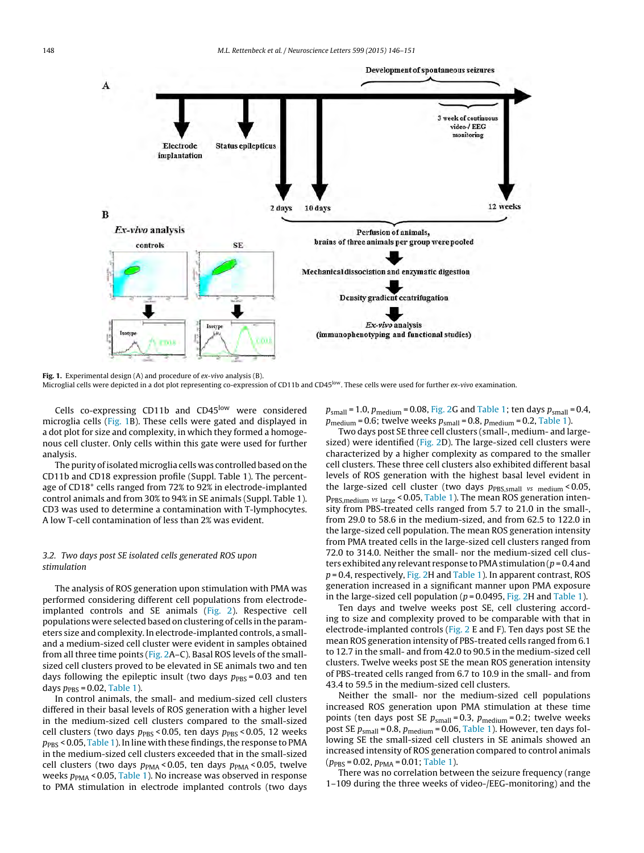<span id="page-2-0"></span>

**Fig. 1.** Experimental design (A) and procedure of ex-vivo analysis (B).

Microglial cells were depicted in a dot plot representing co-expression of CD11b and CD45<sup>low</sup>. These cells were used for further ex-vivo examination.

Cells co-expressing CD11b and CD45<sup>low</sup> were considered microglia cells (Fig. 1B). These cells were gated and displayed in a dot plot for size and complexity, in which they formed a homogenous cell cluster. Only cells within this gate were used for further analysis.

The purity of isolated microglia cells was controlled based on the CD11b and CD18 expression profile (Suppl. Table 1). The percentage of CD18+ cells ranged from 72% to 92% in electrode-implanted control animals and from 30% to 94% in SE animals (Suppl. Table 1). CD3 was used to determine a contamination with T-lymphocytes. A low T-cell contamination of less than 2% was evident.

### 3.2. Two days post SE isolated cells generated ROS upon stimulation

The analysis of ROS generation upon stimulation with PMA was performed considering different cell populations from electrodeimplanted controls and SE animals [\(Fig. 2\)](#page-3-0). Respective cell populations were selected based on clustering of cells in the parameters size and complexity. In electrode-implanted controls, a smalland a medium-sized cell cluster were evident in samples obtained from all three time points ([Fig. 2A–](#page-3-0)C). Basal ROS levels of the smallsized cell clusters proved to be elevated in SE animals two and ten days following the epileptic insult (two days  $p_{\text{PBS}} = 0.03$  and ten days  $p_{\text{PRS}} = 0.02$ , [Table 1\).](#page-3-0)

In control animals, the small- and medium-sized cell clusters differed in their basal levels of ROS generation with a higher level in the medium-sized cell clusters compared to the small-sized cell clusters (two days  $p_{\text{PBS}}$  < 0.05, ten days  $p_{\text{PBS}}$  < 0.05, 12 weeks  $p_{\text{PBS}}$  < 0.05, [Table 1\).](#page-3-0) In line with these findings, the response to PMA in the medium-sized cell clusters exceeded that in the small-sized cell clusters (two days  $p_{\text{PMA}}$  < 0.05, ten days  $p_{\text{PMA}}$  < 0.05, twelve weeks  $p_{\text{PMA}}$  < 0.05, [Table 1\).](#page-3-0) No increase was observed in response to PMA stimulation in electrode implanted controls (two days  $p_{small} = 1.0$ ,  $p_{medium} = 0.08$ , [Fig. 2G](#page-3-0) and [Table 1; t](#page-3-0)en days  $p_{small} = 0.4$ ,  $p_{\text{medium}} = 0.6$ ; twelve weeks  $p_{\text{small}} = 0.8$ ,  $p_{\text{medium}} = 0.2$ , [Table 1\).](#page-3-0)

Two days post SE three cell clusters (small-, medium- and largesized) were identified ([Fig. 2D](#page-3-0)). The large-sized cell clusters were characterized by a higher complexity as compared to the smaller cell clusters. These three cell clusters also exhibited different basal levels of ROS generation with the highest basal level evident in the large-sized cell cluster (two days  $p_{\text{PBS,small}}$  vs medium < 0.05,  $p_{\text{PBS. medium } vs \text{ large}}$  < 0.05, [Table 1\).](#page-3-0) The mean ROS generation intensity from PBS-treated cells ranged from 5.7 to 21.0 in the small-, from 29.0 to 58.6 in the medium-sized, and from 62.5 to 122.0 in the large-sized cell population. The mean ROS generation intensity from PMA treated cells in the large-sized cell clusters ranged from 72.0 to 314.0. Neither the small- nor the medium-sized cell clusters exhibited any relevant response to PMA stimulation ( $p = 0.4$  and  $p = 0.4$ , respectively, [Fig. 2H](#page-3-0) and [Table 1\).](#page-3-0) In apparent contrast, ROS generation increased in a significant manner upon PMA exposure in the large-sized cell population ( $p = 0.0495$ , [Fig. 2H](#page-3-0) and [Table 1\).](#page-3-0)

Ten days and twelve weeks post SE, cell clustering according to size and complexity proved to be comparable with that in electrode-implanted controls [\(Fig. 2](#page-3-0) E and F). Ten days post SE the mean ROS generation intensity of PBS-treated cells ranged from 6.1 to 12.7 in the small- and from 42.0 to 90.5 in the medium-sized cell clusters. Twelve weeks post SE the mean ROS generation intensity of PBS-treated cells ranged from 6.7 to 10.9 in the small- and from 43.4 to 59.5 in the medium-sized cell clusters.

Neither the small- nor the medium-sized cell populations increased ROS generation upon PMA stimulation at these time points (ten days post SE  $p_{small} = 0.3$ ,  $p_{medium} = 0.2$ ; twelve weeks post SE  $p_{small} = 0.8$ ,  $p_{medium} = 0.06$ , [Table 1\).](#page-3-0) However, ten days following SE the small-sized cell clusters in SE animals showed an increased intensity of ROS generation compared to control animals  $(p_{\text{PBS}} = 0.02, p_{\text{PMA}} = 0.01;$  [Table 1\).](#page-3-0)

There was no correlation between the seizure frequency (range 1–109 during the three weeks of video-/EEG-monitoring) and the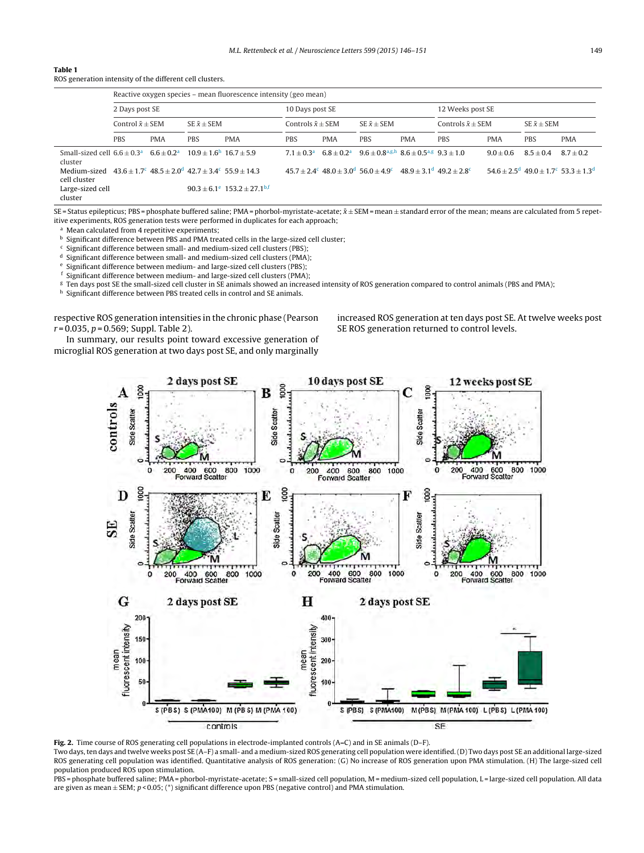#### <span id="page-3-0"></span>**Table 1** ROS generation intensity of the different cell clusters.

|                                          | Reactive oxygen species – mean fluorescence intensity (geo mean) |                                                                            |                        |                                                  |                          |            |                                                                           |                                       |                          |             |                        |                                                    |
|------------------------------------------|------------------------------------------------------------------|----------------------------------------------------------------------------|------------------------|--------------------------------------------------|--------------------------|------------|---------------------------------------------------------------------------|---------------------------------------|--------------------------|-------------|------------------------|----------------------------------------------------|
|                                          | 2 Days post SE                                                   |                                                                            |                        |                                                  | 10 Days post SE          |            |                                                                           |                                       | 12 Weeks post SE         |             |                        |                                                    |
|                                          | Control $\bar{x}$ + SEM                                          |                                                                            | SE $\bar{x} \pm$ SEM   |                                                  | Controls $\bar{x}$ + SEM |            | $SE\overline{x} + SEM$                                                    |                                       | Controls $\bar{x}$ + SEM |             | $SE\overline{x} + SEM$ |                                                    |
|                                          | <b>PBS</b>                                                       | <b>PMA</b>                                                                 | <b>PBS</b>             | <b>PMA</b>                                       | <b>PBS</b>               | <b>PMA</b> | <b>PBS</b>                                                                | <b>PMA</b>                            | <b>PBS</b>               | <b>PMA</b>  | <b>PBS</b>             | <b>PMA</b>                                         |
| Small-sized cell $6.6 + 0.3a$<br>cluster |                                                                  | $6.6 + 0.2a$                                                               | $109 + 16h$ $167 + 59$ |                                                  | $7.1 + 0.3a$             | $68 + 02a$ | $9.6 \pm 0.8$ <sup>a,g,h</sup> $8.6 \pm 0.5$ <sup>a,g</sup> $9.3 \pm 1.0$ |                                       |                          | $9.0 + 0.6$ | $8.5 + 0.4$            | $8.7 + 0.2$                                        |
| Medium-sized<br>cell cluster             |                                                                  | $43.6 + 1.7^{\circ}$ $48.5 + 2.0^{\circ}$ $42.7 + 3.4^{\circ}$ 55.9 + 14.3 |                        |                                                  |                          |            | $45.7 + 2.4^{\circ}$ 48.0 + 3.0 <sup>d</sup> 56.0 + 4.9 <sup>c</sup>      | $48.9 + 3.1d$ 49.2 + 2.8 <sup>c</sup> |                          |             |                        | $54.6 + 2.5^d$ 49.0 + 1.7° 53.3 + 1.3 <sup>d</sup> |
| Large-sized cell<br>cluster              |                                                                  |                                                                            |                        | $90.3 + 6.1^{\circ}$ 153.2 + 27.1 <sup>b,f</sup> |                          |            |                                                                           |                                       |                          |             |                        |                                                    |

SE = Status epilepticus; PBS = phosphate buffered saline; PMA = phorbol-myristate-acetate;  $\bar{x}$  ± SEM = mean ± standard error of the mean; means are calculated from 5 repetitive experiments, ROS generation tests were performed in duplicates for each approach;

<sup>a</sup> Mean calculated from 4 repetitive experiments;

**b** Significant difference between PBS and PMA treated cells in the large-sized cell cluster;

 $\frac{c}{d}$  Significant difference between small- and medium-sized cell clusters (PBS);

Significant difference between small- and medium-sized cell clusters (PMA);

Significant difference between medium- and large-sized cell clusters (PBS);

Significant difference between medium- and large-sized cell clusters (PMA);

Ten days post SE the small-sized cell cluster in SE animals showed an increased intensity of ROS generation compared to control animals (PBS and PMA);

h Significant difference between PBS treated cells in control and SE animals.

respective ROS generation intensities in the chronic phase (Pearson  $r = 0.035$ ,  $p = 0.569$ ; Suppl. Table 2).

In summary, our results point toward excessive generation of microglial ROS generation at two days post SE, and only marginally

increased ROS generation at ten days post SE. At twelve weeks post SE ROS generation returned to control levels.



**Fig. 2.** Time course of ROS generating cell populations in electrode-implanted controls (A**–**C) and in SE animals (D–F).

Two days, ten days and twelve weeks post SE (A–F) a small- and a medium-sized ROS generating cell population were identified. (D) Two days post SE an additional large-sized ROS generating cell population was identified. Quantitative analysis of ROS generation: (G) No increase of ROS generation upon PMA stimulation. (H) The large-sized cell population produced ROS upon stimulation.

PBS = phosphate buffered saline; PMA = phorbol-myristate-acetate; S = small-sized cell population, M = medium-sized cell population, L = large-sized cell population. All data are given as mean ± SEM; p < 0.05; (\*) significant difference upon PBS (negative control) and PMA stimulation.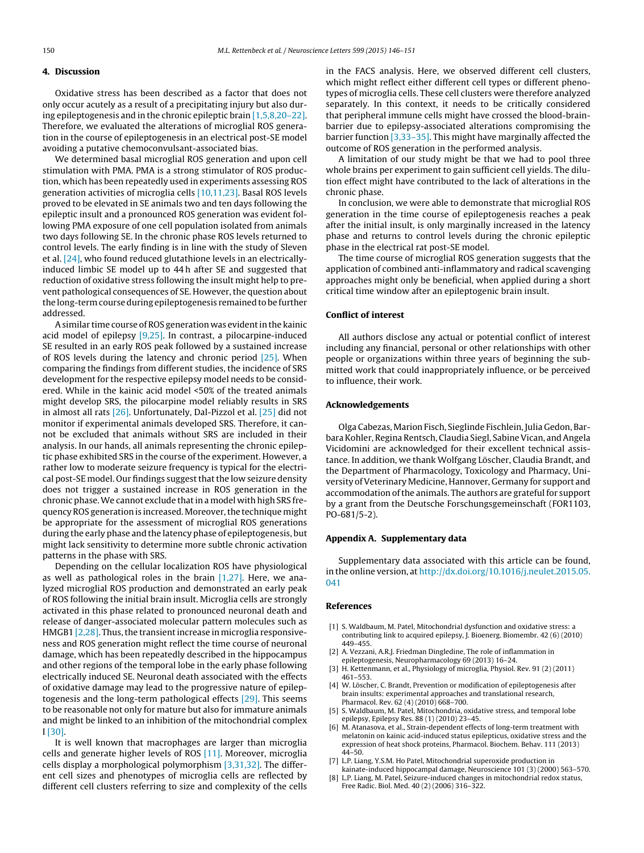#### <span id="page-4-0"></span>**4. Discussion**

Oxidative stress has been described as a factor that does not only occur acutely as a result of a precipitating injury but also during epileptogenesis and in the chronic epileptic brain [1,5,8,20–22]. Therefore, we evaluated the alterations of microglial ROS generation in the course of epileptogenesis in an electrical post-SE model avoiding a putative chemoconvulsant-associated bias.

We determined basal microglial ROS generation and upon cell stimulation with PMA. PMA is a strong stimulator of ROS production, which has been repeatedly used in experiments assessing ROS generation activities of microglia cells [\[10,11,23\]. B](#page-5-0)asal ROS levels proved to be elevated in SE animals two and ten days following the epileptic insult and a pronounced ROS generation was evident following PMA exposure of one cell population isolated from animals two days following SE. In the chronic phase ROS levels returned to control levels. The early finding is in line with the study of Sleven et al. [\[24\], w](#page-5-0)ho found reduced glutathione levels in an electricallyinduced limbic SE model up to 44 h after SE and suggested that reduction of oxidative stress following the insult might help to prevent pathological consequences of SE. However, the question about the long-term course during epileptogenesis remained to be further addressed.

A similar time course of ROS generation was evident in the kainic acid model of epilepsy  $[9,25]$ . In contrast, a pilocarpine-induced SE resulted in an early ROS peak followed by a sustained increase of ROS levels during the latency and chronic period [\[25\].](#page-5-0) When comparing the findings from different studies, the incidence of SRS development for the respective epilepsy model needs to be considered. While in the kainic acid model <50% of the treated animals might develop SRS, the pilocarpine model reliably results in SRS in almost all rats [\[26\]. U](#page-5-0)nfortunately, Dal-Pizzol et al. [\[25\]](#page-5-0) did not monitor if experimental animals developed SRS. Therefore, it cannot be excluded that animals without SRS are included in their analysis. In our hands, all animals representing the chronic epileptic phase exhibited SRS in the course of the experiment. However, a rather low to moderate seizure frequency is typical for the electrical post-SE model. Our findings suggest that the low seizure density does not trigger a sustained increase in ROS generation in the chronic phase.We cannot exclude that in a model with high SRS frequency ROS generation is increased.Moreover, the techniquemight be appropriate for the assessment of microglial ROS generations during the early phase and the latency phase of epileptogenesis, but might lack sensitivity to determine more subtle chronic activation patterns in the phase with SRS.

Depending on the cellular localization ROS have physiological as well as pathological roles in the brain  $[1,27]$ . Here, we analyzed microglial ROS production and demonstrated an early peak of ROS following the initial brain insult. Microglia cells are strongly activated in this phase related to pronounced neuronal death and release of danger-associated molecular pattern molecules such as HMGB1 [2,28]. Thus, the transient increase in microglia responsiveness and ROS generation might reflect the time course of neuronal damage, which has been repeatedly described in the hippocampus and other regions of the temporal lobe in the early phase following electrically induced SE. Neuronal death associated with the effects of oxidative damage may lead to the progressive nature of epileptogenesis and the long-term pathological effects [\[29\]. T](#page-5-0)his seems to be reasonable not only for mature but also for immature animals and might be linked to an inhibition of the mitochondrial complex I [\[30\].](#page-5-0)

It is well known that macrophages are larger than microglia cells and generate higher levels of ROS [\[11\]. M](#page-5-0)oreover, microglia cells display a morphological polymorphism [3,31,32]. The different cell sizes and phenotypes of microglia cells are reflected by different cell clusters referring to size and complexity of the cells in the FACS analysis. Here, we observed different cell clusters, which might reflect either different cell types or different phenotypes of microglia cells. These cell clusters were therefore analyzed separately. In this context, it needs to be critically considered that peripheral immune cells might have crossed the blood-brainbarrier due to epilepsy-associated alterations compromising the barrier function [3,33–35]. This might have marginally affected the outcome of ROS generation in the performed analysis.

A limitation of our study might be that we had to pool three whole brains per experiment to gain sufficient cell yields. The dilution effect might have contributed to the lack of alterations in the chronic phase.

In conclusion, we were able to demonstrate that microglial ROS generation in the time course of epileptogenesis reaches a peak after the initial insult, is only marginally increased in the latency phase and returns to control levels during the chronic epileptic phase in the electrical rat post-SE model.

The time course of microglial ROS generation suggests that the application of combined anti-inflammatory and radical scavenging approaches might only be beneficial, when applied during a short critical time window after an epileptogenic brain insult.

#### **Conflict of interest**

All authors disclose any actual or potential conflict of interest including any financial, personal or other relationships with other people or organizations within three years of beginning the submitted work that could inappropriately influence, or be perceived to influence, their work.

### **Acknowledgements**

Olga Cabezas, Marion Fisch, Sieglinde Fischlein, Julia Gedon, Barbara Kohler, Regina Rentsch, Claudia Siegl, Sabine Vican, and Angela Vicidomini are acknowledged for their excellent technical assistance. In addition, we thank Wolfgang Löscher, Claudia Brandt, and the Department of Pharmacology, Toxicology and Pharmacy, University of Veterinary Medicine, Hannover, Germany for support and accommodation of the animals. The authors are grateful for support by a grant from the Deutsche Forschungsgemeinschaft (FOR1103, PO-681/5-2).

#### **Appendix A. Supplementary data**

Supplementary data associated with this article can be found, in the online version, at [http://dx.doi.org/10.1016/j.neulet.2015.05.](http://dx.doi.org/10.1016/j.neulet.2015.05.041) [041](http://dx.doi.org/10.1016/j.neulet.2015.05.041)

#### **References**

- [1] S. Waldbaum, M. Patel, Mitochondrial dysfunction and oxidative stress: a contributing link to acquired epilepsy, J. Bioenerg. Biomembr. 42 (6) (2010) 449–455.
- [2] A. Vezzani, A.R.J. Friedman Dingledine, The role of inflammation in epileptogenesis, Neuropharmacology 69 (2013) 16–24.
- [3] H. Kettenmann, et al., Physiology of microglia, Physiol. Rev. 91 (2) (2011) 461–553.
- [4] W. Löscher, C. Brandt, Prevention or modification of epileptogenesis after brain insults: experimental approaches and translational research, Pharmacol. Rev. 62 (4) (2010) 668–700.
- [5] S. Waldbaum, M. Patel, Mitochondria, oxidative stress, and temporal lobe epilepsy, Epilepsy Res. 88 (1) (2010) 23–45.
- [6] M. Atanasova, et al., Strain-dependent effects of long-term treatment with melatonin on kainic acid-induced status epilepticus, oxidative stress and the expression of heat shock proteins, Pharmacol. Biochem. Behav. 111 (2013) 44–50.
- [7] L.P. Liang, Y.S.M. Ho Patel, Mitochondrial superoxide production in kainate-induced hippocampal damage, Neuroscience 101 (3) (2000) 563–570.
- [8] L.P. Liang, M. Patel, Seizure-induced changes in mitochondrial redox status, Free Radic. Biol. Med. 40 (2) (2006) 316–322.